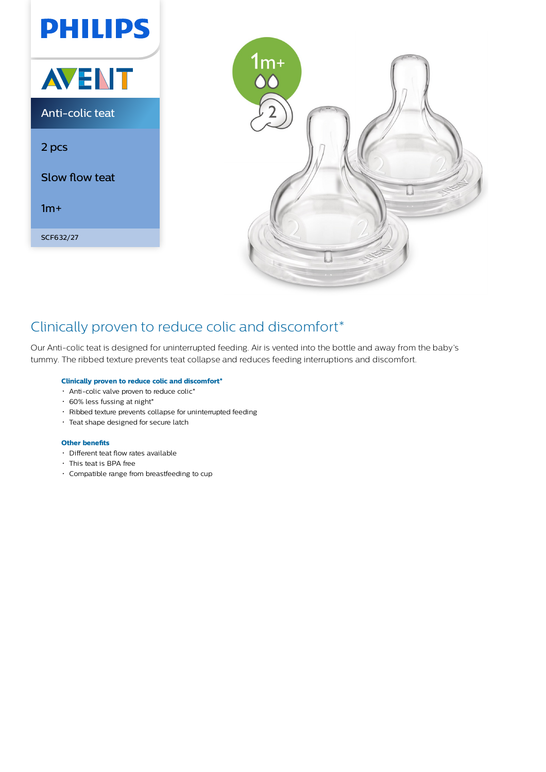



## Clinically proven to reduce colic and discomfort\*

Our Anti-colic teat is designed for uninterrupted feeding. Air is vented into the bottle and away from the baby's tummy. The ribbed texture prevents teat collapse and reduces feeding interruptions and discomfort.

#### **Clinically proven to reduce colic and discomfort\***

- Anti-colic valve proven to reduce colic\*
- 60% less fussing at night\*
- Ribbed texture prevents collapse for uninterrupted feeding
- Teat shape designed for secure latch

#### **Other benefits**

- Different teat flow rates available
- This teat is BPA free
- Compatible range from breastfeeding to cup